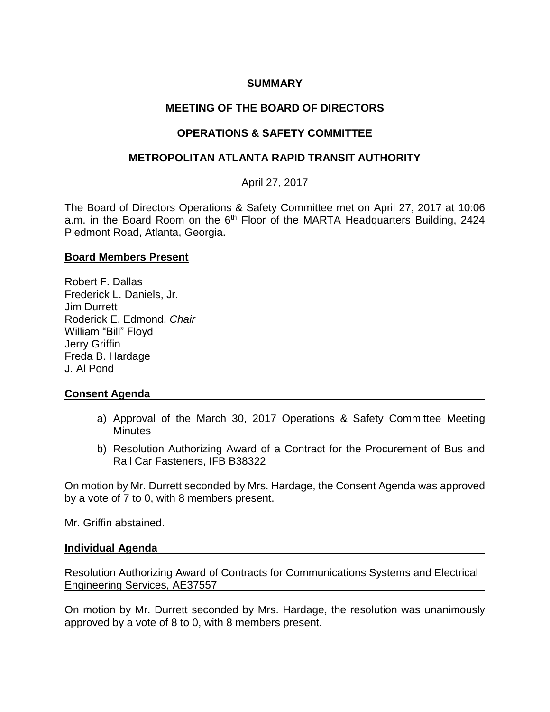# **SUMMARY**

# **MEETING OF THE BOARD OF DIRECTORS**

# **OPERATIONS & SAFETY COMMITTEE**

## **METROPOLITAN ATLANTA RAPID TRANSIT AUTHORITY**

# April 27, 2017

The Board of Directors Operations & Safety Committee met on April 27, 2017 at 10:06 a.m. in the Board Room on the 6<sup>th</sup> Floor of the MARTA Headquarters Building, 2424 Piedmont Road, Atlanta, Georgia.

### **Board Members Present**

Robert F. Dallas Frederick L. Daniels, Jr. Jim Durrett Roderick E. Edmond, *Chair*  William "Bill" Floyd Jerry Griffin Freda B. Hardage J. Al Pond

## **Consent Agenda**

- a) Approval of the March 30, 2017 Operations & Safety Committee Meeting **Minutes**
- b) Resolution Authorizing Award of a Contract for the Procurement of Bus and Rail Car Fasteners, IFB B38322

On motion by Mr. Durrett seconded by Mrs. Hardage, the Consent Agenda was approved by a vote of 7 to 0, with 8 members present.

Mr. Griffin abstained.

### **Individual Agenda**

Resolution Authorizing Award of Contracts for Communications Systems and Electrical Engineering Services, AE37557

On motion by Mr. Durrett seconded by Mrs. Hardage, the resolution was unanimously approved by a vote of 8 to 0, with 8 members present.